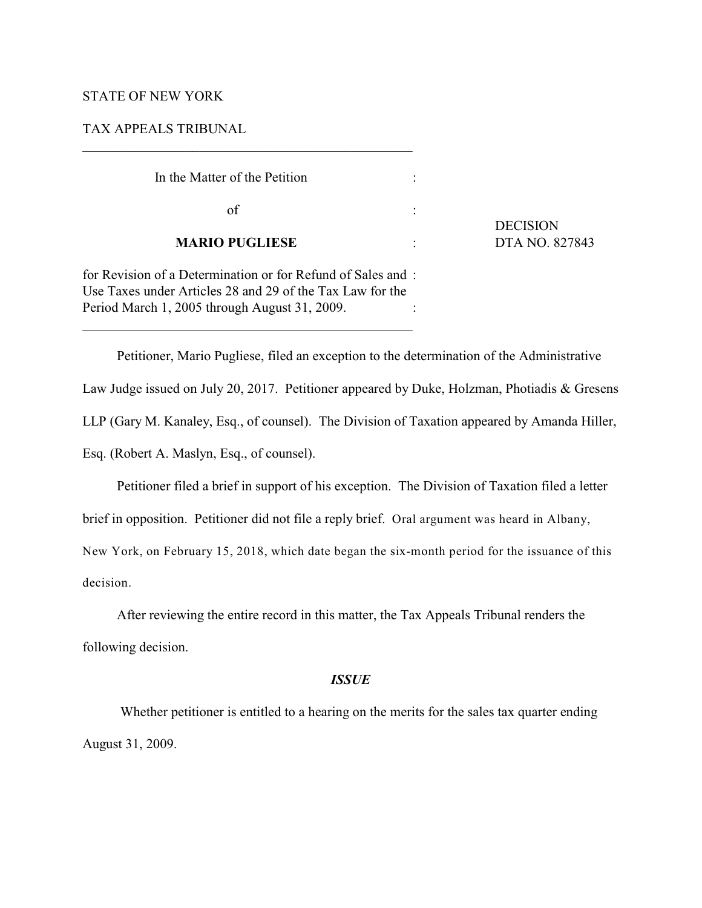# STATE OF NEW YORK

# TAX APPEALS TRIBUNAL

 $\mathcal{L}_\mathcal{L} = \{ \mathcal{L}_\mathcal{L} = \{ \mathcal{L}_\mathcal{L} = \{ \mathcal{L}_\mathcal{L} = \{ \mathcal{L}_\mathcal{L} = \{ \mathcal{L}_\mathcal{L} = \{ \mathcal{L}_\mathcal{L} = \{ \mathcal{L}_\mathcal{L} = \{ \mathcal{L}_\mathcal{L} = \{ \mathcal{L}_\mathcal{L} = \{ \mathcal{L}_\mathcal{L} = \{ \mathcal{L}_\mathcal{L} = \{ \mathcal{L}_\mathcal{L} = \{ \mathcal{L}_\mathcal{L} = \{ \mathcal{L}_\mathcal{$ 

 $\mathcal{L}_\mathcal{L} = \{ \mathcal{L}_\mathcal{L} = \{ \mathcal{L}_\mathcal{L} = \{ \mathcal{L}_\mathcal{L} = \{ \mathcal{L}_\mathcal{L} = \{ \mathcal{L}_\mathcal{L} = \{ \mathcal{L}_\mathcal{L} = \{ \mathcal{L}_\mathcal{L} = \{ \mathcal{L}_\mathcal{L} = \{ \mathcal{L}_\mathcal{L} = \{ \mathcal{L}_\mathcal{L} = \{ \mathcal{L}_\mathcal{L} = \{ \mathcal{L}_\mathcal{L} = \{ \mathcal{L}_\mathcal{L} = \{ \mathcal{L}_\mathcal{$ 

| In the Matter of the Petition                                                                                                                                             |                 |
|---------------------------------------------------------------------------------------------------------------------------------------------------------------------------|-----------------|
| of                                                                                                                                                                        | <b>DECISION</b> |
| <b>MARIO PUGLIESE</b>                                                                                                                                                     | DTA NO. 827843  |
| for Revision of a Determination or for Refund of Sales and:<br>Use Taxes under Articles 28 and 29 of the Tax Law for the<br>Period March 1, 2005 through August 31, 2009. |                 |

Petitioner, Mario Pugliese, filed an exception to the determination of the Administrative Law Judge issued on July 20, 2017. Petitioner appeared by Duke, Holzman, Photiadis & Gresens LLP (Gary M. Kanaley, Esq., of counsel). The Division of Taxation appeared by Amanda Hiller, Esq. (Robert A. Maslyn, Esq., of counsel).

Petitioner filed a brief in support of his exception. The Division of Taxation filed a letter

brief in opposition. Petitioner did not file a reply brief. Oral argument was heard in Albany,

New York, on February 15, 2018, which date began the six-month period for the issuance of this

decision.

After reviewing the entire record in this matter, the Tax Appeals Tribunal renders the following decision.

### *ISSUE*

 Whether petitioner is entitled to a hearing on the merits for the sales tax quarter ending August 31, 2009.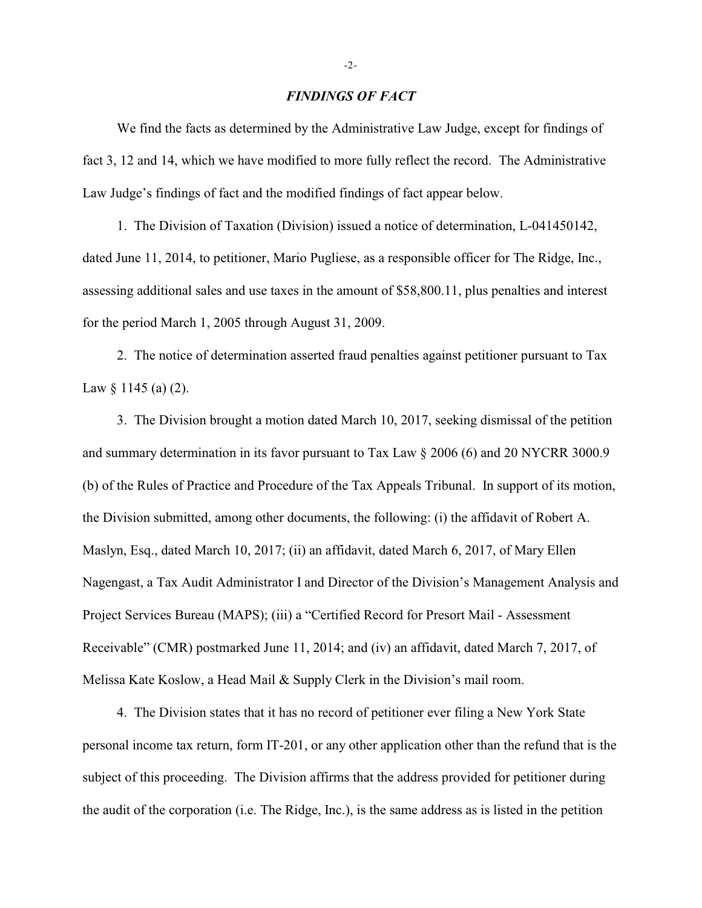### *FINDINGS OF FACT*

We find the facts as determined by the Administrative Law Judge, except for findings of fact 3, 12 and 14, which we have modified to more fully reflect the record. The Administrative Law Judge's findings of fact and the modified findings of fact appear below.

1. The Division of Taxation (Division) issued a notice of determination, L-041450142, dated June 11, 2014, to petitioner, Mario Pugliese, as a responsible officer for The Ridge, Inc., assessing additional sales and use taxes in the amount of \$58,800.11, plus penalties and interest for the period March 1, 2005 through August 31, 2009.

2. The notice of determination asserted fraud penalties against petitioner pursuant to Tax Law  $\S$  1145 (a) (2).

3. The Division brought a motion dated March 10, 2017, seeking dismissal of the petition and summary determination in its favor pursuant to Tax Law § 2006 (6) and 20 NYCRR 3000.9 (b) of the Rules of Practice and Procedure of the Tax Appeals Tribunal. In support of its motion, the Division submitted, among other documents, the following: (i) the affidavit of Robert A. Maslyn, Esq., dated March 10, 2017; (ii) an affidavit, dated March 6, 2017, of Mary Ellen Nagengast, a Tax Audit Administrator I and Director of the Division's Management Analysis and Project Services Bureau (MAPS); (iii) a "Certified Record for Presort Mail - Assessment Receivable" (CMR) postmarked June 11, 2014; and (iv) an affidavit, dated March 7, 2017, of Melissa Kate Koslow, a Head Mail & Supply Clerk in the Division's mail room.

4. The Division states that it has no record of petitioner ever filing a New York State personal income tax return, form IT-201, or any other application other than the refund that is the subject of this proceeding. The Division affirms that the address provided for petitioner during the audit of the corporation (i.e. The Ridge, Inc.), is the same address as is listed in the petition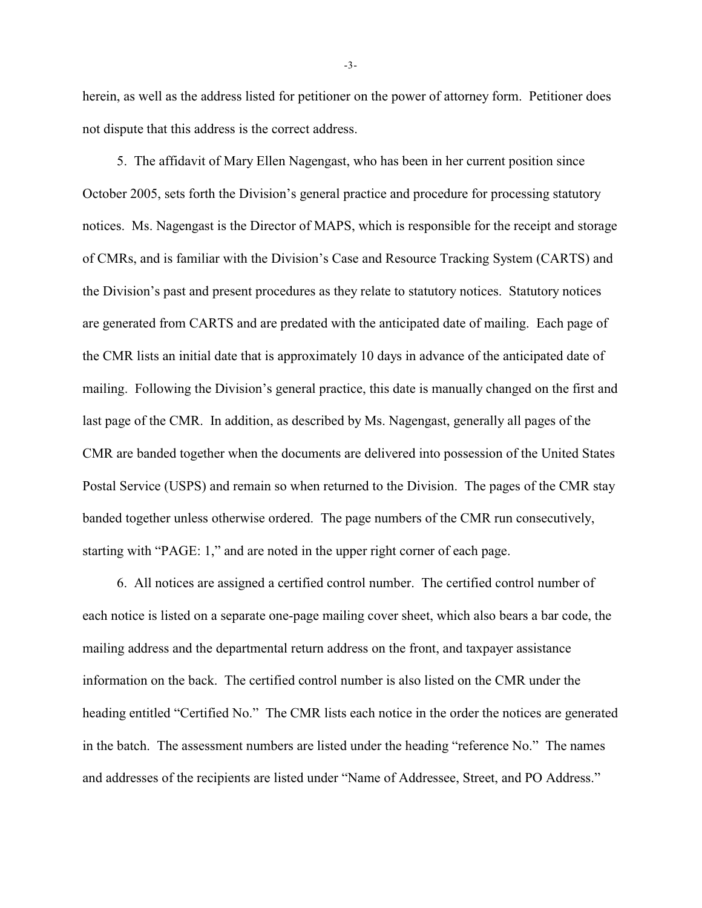herein, as well as the address listed for petitioner on the power of attorney form. Petitioner does not dispute that this address is the correct address.

5. The affidavit of Mary Ellen Nagengast, who has been in her current position since October 2005, sets forth the Division's general practice and procedure for processing statutory notices. Ms. Nagengast is the Director of MAPS, which is responsible for the receipt and storage of CMRs, and is familiar with the Division's Case and Resource Tracking System (CARTS) and the Division's past and present procedures as they relate to statutory notices. Statutory notices are generated from CARTS and are predated with the anticipated date of mailing. Each page of the CMR lists an initial date that is approximately 10 days in advance of the anticipated date of mailing. Following the Division's general practice, this date is manually changed on the first and last page of the CMR. In addition, as described by Ms. Nagengast, generally all pages of the CMR are banded together when the documents are delivered into possession of the United States Postal Service (USPS) and remain so when returned to the Division. The pages of the CMR stay banded together unless otherwise ordered. The page numbers of the CMR run consecutively, starting with "PAGE: 1," and are noted in the upper right corner of each page.

6. All notices are assigned a certified control number. The certified control number of each notice is listed on a separate one-page mailing cover sheet, which also bears a bar code, the mailing address and the departmental return address on the front, and taxpayer assistance information on the back. The certified control number is also listed on the CMR under the heading entitled "Certified No." The CMR lists each notice in the order the notices are generated in the batch. The assessment numbers are listed under the heading "reference No." The names and addresses of the recipients are listed under "Name of Addressee, Street, and PO Address."

-3-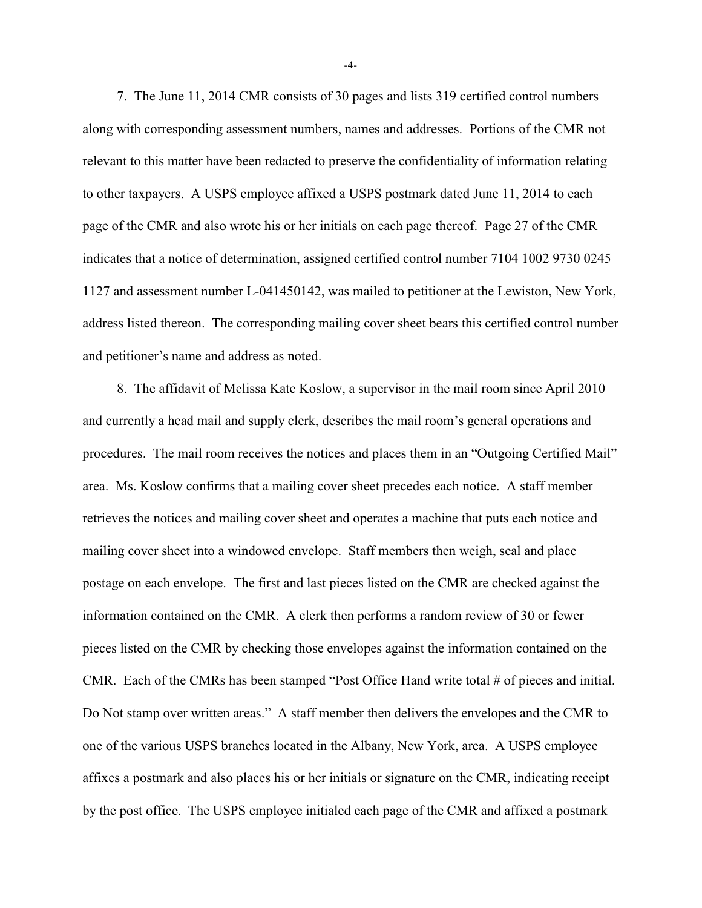7. The June 11, 2014 CMR consists of 30 pages and lists 319 certified control numbers along with corresponding assessment numbers, names and addresses. Portions of the CMR not relevant to this matter have been redacted to preserve the confidentiality of information relating to other taxpayers. A USPS employee affixed a USPS postmark dated June 11, 2014 to each page of the CMR and also wrote his or her initials on each page thereof. Page 27 of the CMR indicates that a notice of determination, assigned certified control number 7104 1002 9730 0245 1127 and assessment number L-041450142, was mailed to petitioner at the Lewiston, New York, address listed thereon. The corresponding mailing cover sheet bears this certified control number and petitioner's name and address as noted.

8. The affidavit of Melissa Kate Koslow, a supervisor in the mail room since April 2010 and currently a head mail and supply clerk, describes the mail room's general operations and procedures. The mail room receives the notices and places them in an "Outgoing Certified Mail" area. Ms. Koslow confirms that a mailing cover sheet precedes each notice. A staff member retrieves the notices and mailing cover sheet and operates a machine that puts each notice and mailing cover sheet into a windowed envelope. Staff members then weigh, seal and place postage on each envelope. The first and last pieces listed on the CMR are checked against the information contained on the CMR. A clerk then performs a random review of 30 or fewer pieces listed on the CMR by checking those envelopes against the information contained on the CMR. Each of the CMRs has been stamped "Post Office Hand write total # of pieces and initial. Do Not stamp over written areas." A staff member then delivers the envelopes and the CMR to one of the various USPS branches located in the Albany, New York, area. A USPS employee affixes a postmark and also places his or her initials or signature on the CMR, indicating receipt by the post office. The USPS employee initialed each page of the CMR and affixed a postmark

-4-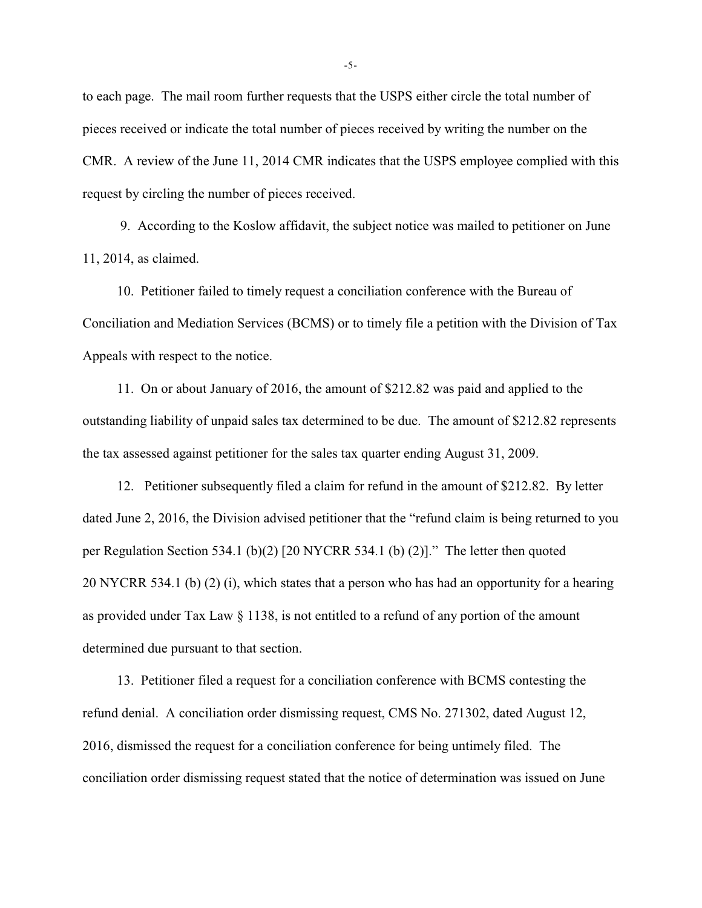to each page. The mail room further requests that the USPS either circle the total number of pieces received or indicate the total number of pieces received by writing the number on the CMR. A review of the June 11, 2014 CMR indicates that the USPS employee complied with this request by circling the number of pieces received.

 9. According to the Koslow affidavit, the subject notice was mailed to petitioner on June 11, 2014, as claimed.

10. Petitioner failed to timely request a conciliation conference with the Bureau of Conciliation and Mediation Services (BCMS) or to timely file a petition with the Division of Tax Appeals with respect to the notice.

11. On or about January of 2016, the amount of \$212.82 was paid and applied to the outstanding liability of unpaid sales tax determined to be due. The amount of \$212.82 represents the tax assessed against petitioner for the sales tax quarter ending August 31, 2009.

12. Petitioner subsequently filed a claim for refund in the amount of \$212.82. By letter dated June 2, 2016, the Division advised petitioner that the "refund claim is being returned to you per Regulation Section 534.1 (b)(2) [20 NYCRR 534.1 (b) (2)]." The letter then quoted 20 NYCRR 534.1 (b) (2) (i), which states that a person who has had an opportunity for a hearing as provided under Tax Law § 1138, is not entitled to a refund of any portion of the amount determined due pursuant to that section.

13. Petitioner filed a request for a conciliation conference with BCMS contesting the refund denial. A conciliation order dismissing request, CMS No. 271302, dated August 12, 2016, dismissed the request for a conciliation conference for being untimely filed. The conciliation order dismissing request stated that the notice of determination was issued on June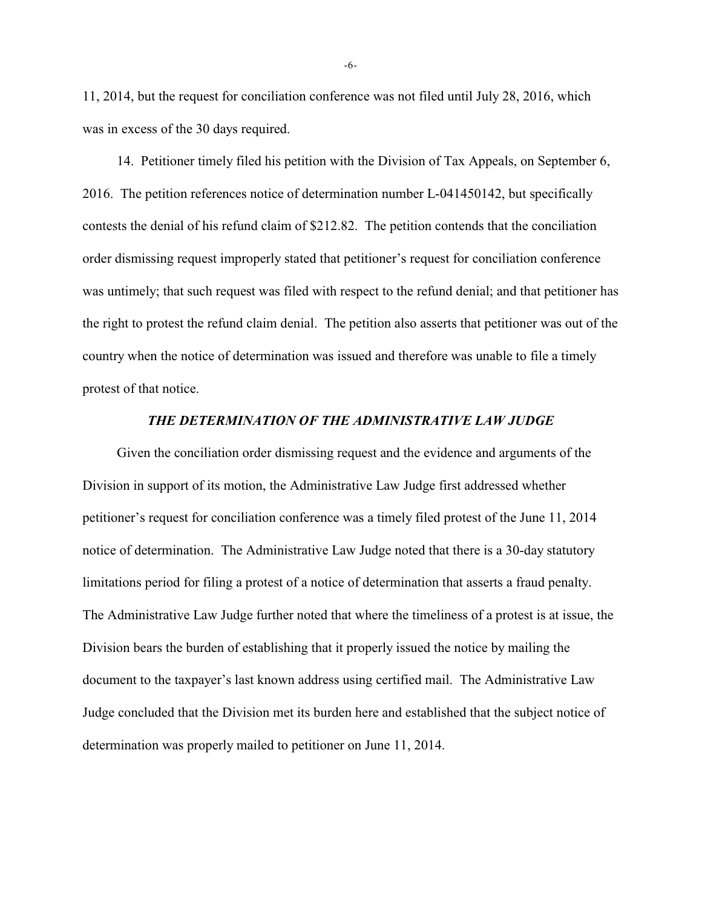11, 2014, but the request for conciliation conference was not filed until July 28, 2016, which was in excess of the 30 days required.

14. Petitioner timely filed his petition with the Division of Tax Appeals, on September 6, 2016. The petition references notice of determination number L-041450142, but specifically contests the denial of his refund claim of \$212.82. The petition contends that the conciliation order dismissing request improperly stated that petitioner's request for conciliation conference was untimely; that such request was filed with respect to the refund denial; and that petitioner has the right to protest the refund claim denial. The petition also asserts that petitioner was out of the country when the notice of determination was issued and therefore was unable to file a timely protest of that notice.

#### *THE DETERMINATION OF THE ADMINISTRATIVE LAW JUDGE*

Given the conciliation order dismissing request and the evidence and arguments of the Division in support of its motion, the Administrative Law Judge first addressed whether petitioner's request for conciliation conference was a timely filed protest of the June 11, 2014 notice of determination. The Administrative Law Judge noted that there is a 30-day statutory limitations period for filing a protest of a notice of determination that asserts a fraud penalty. The Administrative Law Judge further noted that where the timeliness of a protest is at issue, the Division bears the burden of establishing that it properly issued the notice by mailing the document to the taxpayer's last known address using certified mail. The Administrative Law Judge concluded that the Division met its burden here and established that the subject notice of determination was properly mailed to petitioner on June 11, 2014.

-6-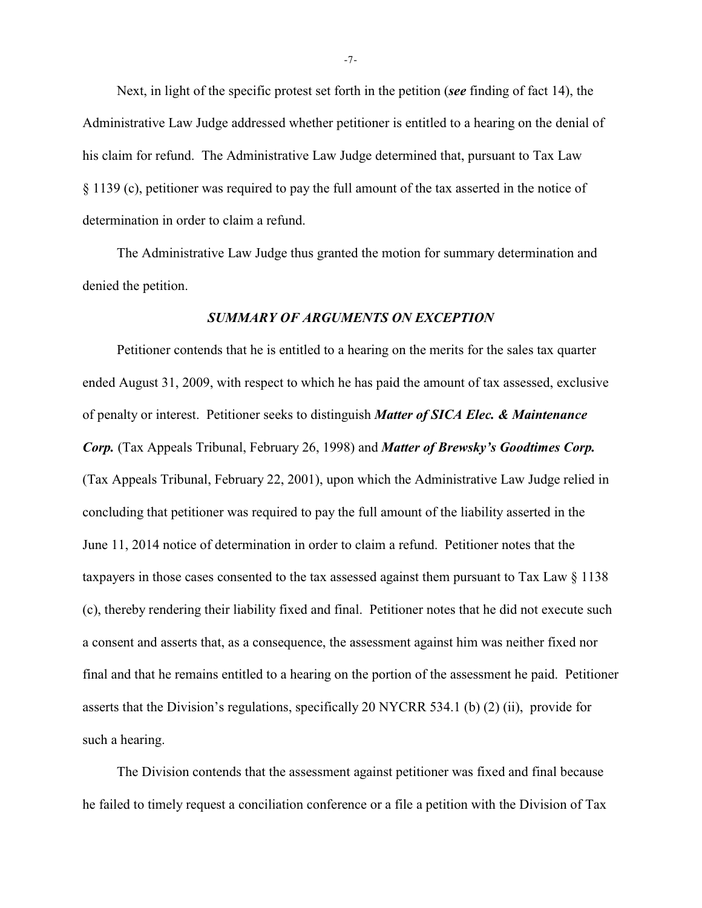Next, in light of the specific protest set forth in the petition (*see* finding of fact 14), the Administrative Law Judge addressed whether petitioner is entitled to a hearing on the denial of his claim for refund. The Administrative Law Judge determined that, pursuant to Tax Law § 1139 (c), petitioner was required to pay the full amount of the tax asserted in the notice of determination in order to claim a refund.

The Administrative Law Judge thus granted the motion for summary determination and denied the petition.

### *SUMMARY OF ARGUMENTS ON EXCEPTION*

Petitioner contends that he is entitled to a hearing on the merits for the sales tax quarter ended August 31, 2009, with respect to which he has paid the amount of tax assessed, exclusive of penalty or interest. Petitioner seeks to distinguish *Matter of SICA Elec. & Maintenance Corp.* (Tax Appeals Tribunal, February 26, 1998) and *Matter of Brewsky's Goodtimes Corp.* (Tax Appeals Tribunal, February 22, 2001), upon which the Administrative Law Judge relied in concluding that petitioner was required to pay the full amount of the liability asserted in the June 11, 2014 notice of determination in order to claim a refund. Petitioner notes that the taxpayers in those cases consented to the tax assessed against them pursuant to Tax Law § 1138 (c), thereby rendering their liability fixed and final. Petitioner notes that he did not execute such a consent and asserts that, as a consequence, the assessment against him was neither fixed nor final and that he remains entitled to a hearing on the portion of the assessment he paid. Petitioner asserts that the Division's regulations, specifically 20 NYCRR 534.1 (b) (2) (ii), provide for such a hearing.

The Division contends that the assessment against petitioner was fixed and final because he failed to timely request a conciliation conference or a file a petition with the Division of Tax

-7-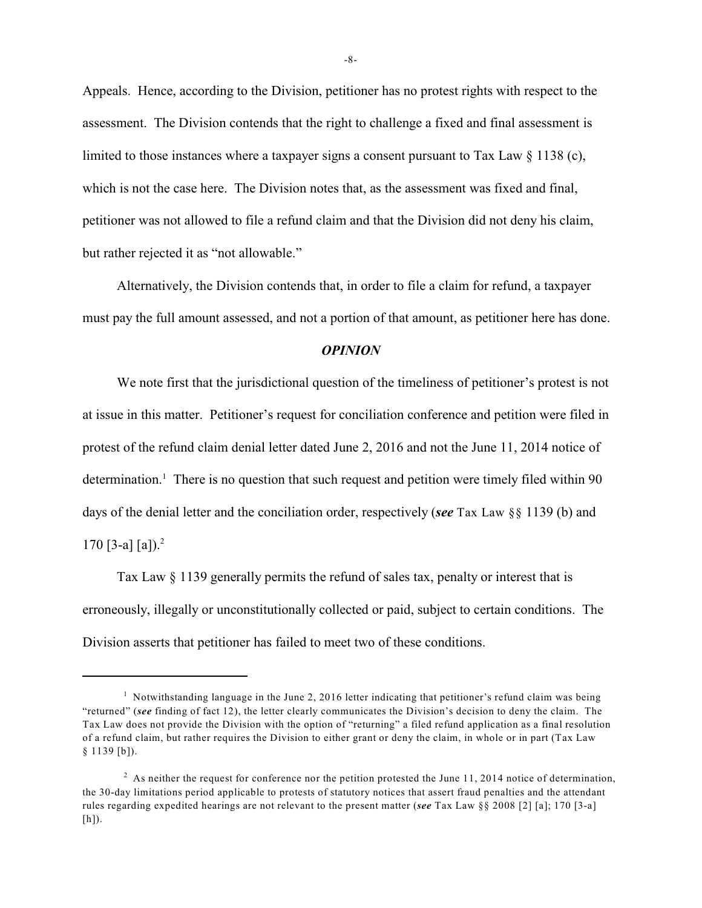Appeals. Hence, according to the Division, petitioner has no protest rights with respect to the assessment. The Division contends that the right to challenge a fixed and final assessment is limited to those instances where a taxpayer signs a consent pursuant to Tax Law § 1138 (c), which is not the case here. The Division notes that, as the assessment was fixed and final, petitioner was not allowed to file a refund claim and that the Division did not deny his claim, but rather rejected it as "not allowable."

Alternatively, the Division contends that, in order to file a claim for refund, a taxpayer must pay the full amount assessed, and not a portion of that amount, as petitioner here has done.

#### *OPINION*

We note first that the jurisdictional question of the timeliness of petitioner's protest is not at issue in this matter. Petitioner's request for conciliation conference and petition were filed in protest of the refund claim denial letter dated June 2, 2016 and not the June 11, 2014 notice of determination.<sup>1</sup> There is no question that such request and petition were timely filed within 90 days of the denial letter and the conciliation order, respectively (*see* Tax Law §§ 1139 (b) and 170 [3-a] [a]).<sup>2</sup>

 Tax Law § 1139 generally permits the refund of sales tax, penalty or interest that is erroneously, illegally or unconstitutionally collected or paid, subject to certain conditions. The Division asserts that petitioner has failed to meet two of these conditions.

<sup>&</sup>lt;sup>1</sup> Notwithstanding language in the June 2, 2016 letter indicating that petitioner's refund claim was being "returned" (*see* finding of fact 12), the letter clearly communicates the Division's decision to deny the claim. The Tax Law does not provide the Division with the option of "returning" a filed refund application as a final resolution of a refund claim, but rather requires the Division to either grant or deny the claim, in whole or in part (Tax Law § 1139 [b]).

 $^2$  As neither the request for conference nor the petition protested the June 11, 2014 notice of determination, the 30-day limitations period applicable to protests of statutory notices that assert fraud penalties and the attendant rules regarding expedited hearings are not relevant to the present matter (*see* Tax Law §§ 2008 [2] [a]; 170 [3-a] [h]).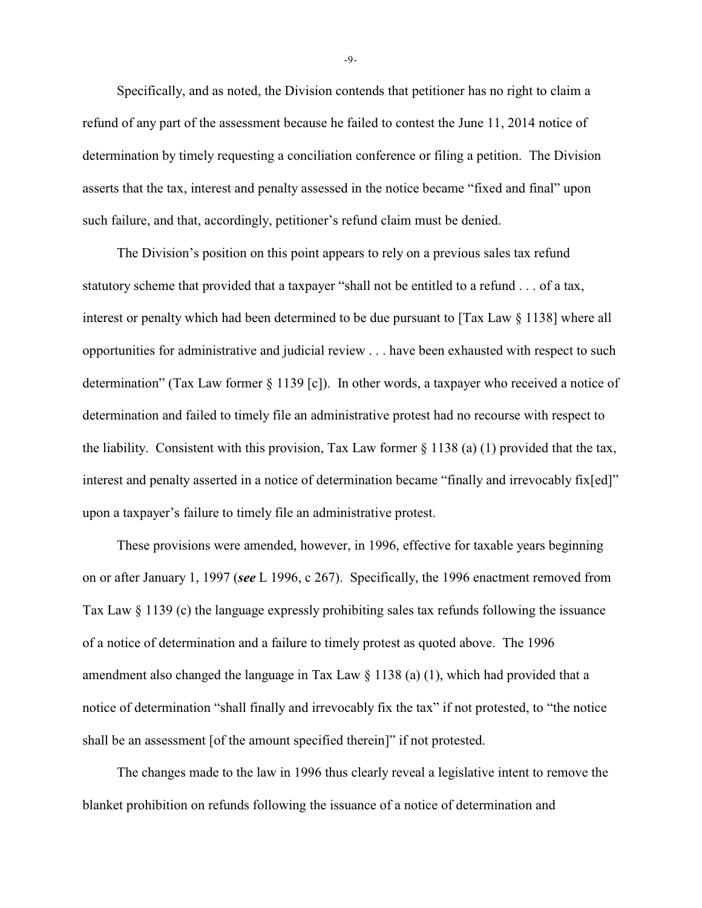Specifically, and as noted, the Division contends that petitioner has no right to claim a refund of any part of the assessment because he failed to contest the June 11, 2014 notice of determination by timely requesting a conciliation conference or filing a petition. The Division asserts that the tax, interest and penalty assessed in the notice became "fixed and final" upon such failure, and that, accordingly, petitioner's refund claim must be denied.

The Division's position on this point appears to rely on a previous sales tax refund statutory scheme that provided that a taxpayer "shall not be entitled to a refund . . . of a tax, interest or penalty which had been determined to be due pursuant to [Tax Law § 1138] where all opportunities for administrative and judicial review . . . have been exhausted with respect to such determination" (Tax Law former § 1139 [c]). In other words, a taxpayer who received a notice of determination and failed to timely file an administrative protest had no recourse with respect to the liability. Consistent with this provision, Tax Law former § 1138 (a) (1) provided that the tax, interest and penalty asserted in a notice of determination became "finally and irrevocably fix[ed]" upon a taxpayer's failure to timely file an administrative protest.

 These provisions were amended, however, in 1996, effective for taxable years beginning on or after January 1, 1997 (*see* L 1996, c 267). Specifically, the 1996 enactment removed from Tax Law § 1139 (c) the language expressly prohibiting sales tax refunds following the issuance of a notice of determination and a failure to timely protest as quoted above. The 1996 amendment also changed the language in Tax Law  $\S$  1138 (a) (1), which had provided that a notice of determination "shall finally and irrevocably fix the tax" if not protested, to "the notice shall be an assessment [of the amount specified therein]" if not protested.

The changes made to the law in 1996 thus clearly reveal a legislative intent to remove the blanket prohibition on refunds following the issuance of a notice of determination and

-9-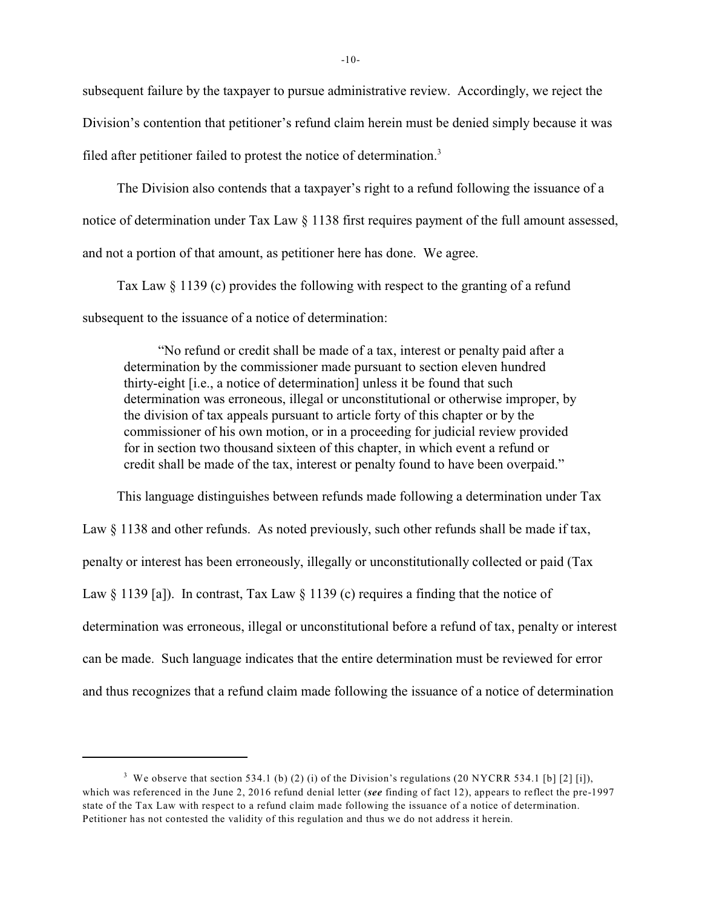subsequent failure by the taxpayer to pursue administrative review. Accordingly, we reject the Division's contention that petitioner's refund claim herein must be denied simply because it was filed after petitioner failed to protest the notice of determination.<sup>3</sup>

The Division also contends that a taxpayer's right to a refund following the issuance of a notice of determination under Tax Law § 1138 first requires payment of the full amount assessed, and not a portion of that amount, as petitioner here has done. We agree.

Tax Law  $\S 1139$  (c) provides the following with respect to the granting of a refund subsequent to the issuance of a notice of determination:

"No refund or credit shall be made of a tax, interest or penalty paid after a determination by the commissioner made pursuant to section eleven hundred thirty-eight [i.e., a notice of determination] unless it be found that such determination was erroneous, illegal or unconstitutional or otherwise improper, by the division of tax appeals pursuant to article forty of this chapter or by the commissioner of his own motion, or in a proceeding for judicial review provided for in section two thousand sixteen of this chapter, in which event a refund or credit shall be made of the tax, interest or penalty found to have been overpaid."

This language distinguishes between refunds made following a determination under Tax Law § 1138 and other refunds. As noted previously, such other refunds shall be made if tax, penalty or interest has been erroneously, illegally or unconstitutionally collected or paid (Tax Law  $\S 1139$  [a]). In contrast, Tax Law  $\S 1139$  (c) requires a finding that the notice of determination was erroneous, illegal or unconstitutional before a refund of tax, penalty or interest can be made. Such language indicates that the entire determination must be reviewed for error and thus recognizes that a refund claim made following the issuance of a notice of determination

<sup>&</sup>lt;sup>3</sup> We observe that section 534.1 (b) (2) (i) of the Division's regulations (20 NYCRR 534.1 [b] [2] [i]), which was referenced in the June 2, 2016 refund denial letter (*see* finding of fact 12), appears to reflect the pre-1997 state of the Tax Law with respect to a refund claim made following the issuance of a notice of determination. Petitioner has not contested the validity of this regulation and thus we do not address it herein.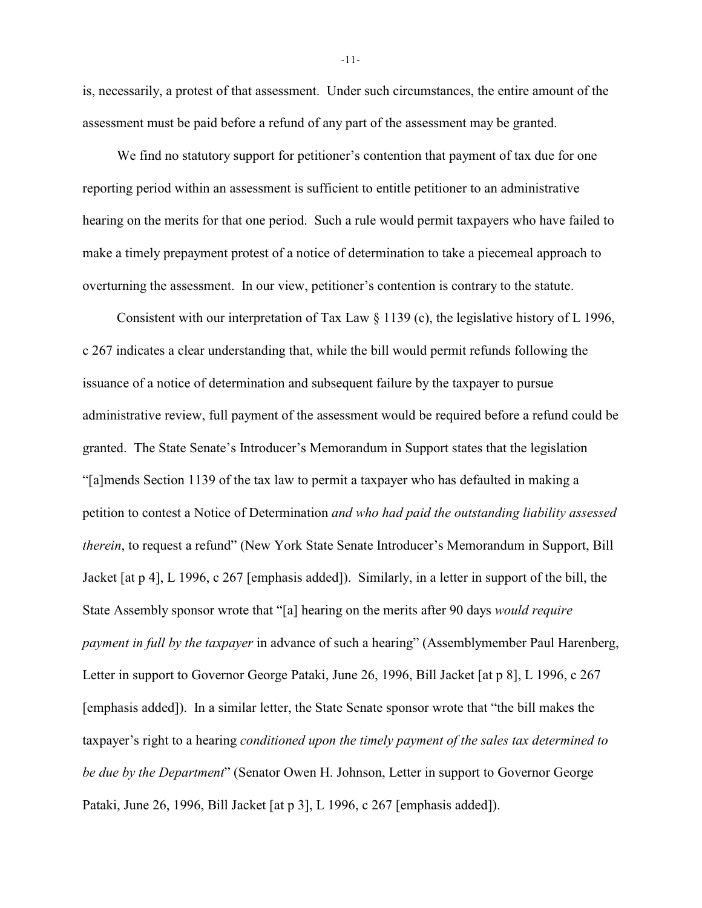is, necessarily, a protest of that assessment. Under such circumstances, the entire amount of the assessment must be paid before a refund of any part of the assessment may be granted.

We find no statutory support for petitioner's contention that payment of tax due for one reporting period within an assessment is sufficient to entitle petitioner to an administrative hearing on the merits for that one period. Such a rule would permit taxpayers who have failed to make a timely prepayment protest of a notice of determination to take a piecemeal approach to overturning the assessment. In our view, petitioner's contention is contrary to the statute.

Consistent with our interpretation of Tax Law § 1139 (c), the legislative history of L 1996, c 267 indicates a clear understanding that, while the bill would permit refunds following the issuance of a notice of determination and subsequent failure by the taxpayer to pursue administrative review, full payment of the assessment would be required before a refund could be granted. The State Senate's Introducer's Memorandum in Support states that the legislation "[a]mends Section 1139 of the tax law to permit a taxpayer who has defaulted in making a petition to contest a Notice of Determination *and who had paid the outstanding liability assessed therein*, to request a refund" (New York State Senate Introducer's Memorandum in Support, Bill Jacket [at p 4], L 1996, c 267 [emphasis added]). Similarly, in a letter in support of the bill, the State Assembly sponsor wrote that "[a] hearing on the merits after 90 days *would require payment in full by the taxpayer* in advance of such a hearing" (Assemblymember Paul Harenberg, Letter in support to Governor George Pataki, June 26, 1996, Bill Jacket [at p 8], L 1996, c 267 [emphasis added]). In a similar letter, the State Senate sponsor wrote that "the bill makes the taxpayer's right to a hearing *conditioned upon the timely payment of the sales tax determined to be due by the Department*" (Senator Owen H. Johnson, Letter in support to Governor George Pataki, June 26, 1996, Bill Jacket [at p 3], L 1996, c 267 [emphasis added]).

-11-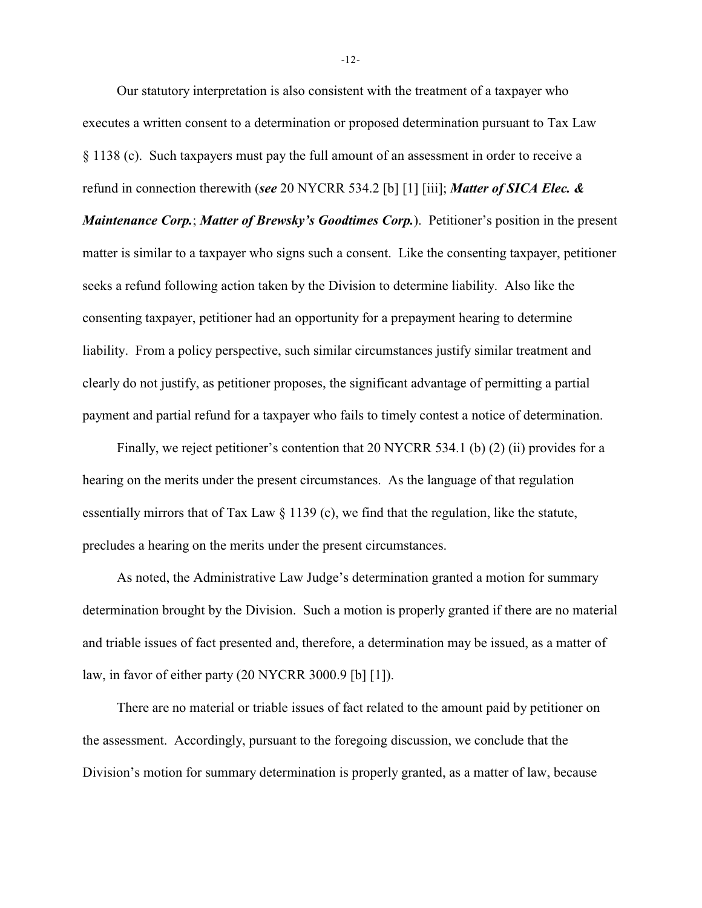Our statutory interpretation is also consistent with the treatment of a taxpayer who executes a written consent to a determination or proposed determination pursuant to Tax Law § 1138 (c). Such taxpayers must pay the full amount of an assessment in order to receive a refund in connection therewith (*see* 20 NYCRR 534.2 [b] [1] [iii]; *Matter of SICA Elec. & Maintenance Corp.*; *Matter of Brewsky's Goodtimes Corp.*). Petitioner's position in the present matter is similar to a taxpayer who signs such a consent. Like the consenting taxpayer, petitioner seeks a refund following action taken by the Division to determine liability. Also like the consenting taxpayer, petitioner had an opportunity for a prepayment hearing to determine liability. From a policy perspective, such similar circumstances justify similar treatment and clearly do not justify, as petitioner proposes, the significant advantage of permitting a partial payment and partial refund for a taxpayer who fails to timely contest a notice of determination.

Finally, we reject petitioner's contention that 20 NYCRR 534.1 (b) (2) (ii) provides for a hearing on the merits under the present circumstances. As the language of that regulation essentially mirrors that of Tax Law § 1139 (c), we find that the regulation, like the statute, precludes a hearing on the merits under the present circumstances.

As noted, the Administrative Law Judge's determination granted a motion for summary determination brought by the Division. Such a motion is properly granted if there are no material and triable issues of fact presented and, therefore, a determination may be issued, as a matter of law, in favor of either party (20 NYCRR 3000.9 [b] [1]).

There are no material or triable issues of fact related to the amount paid by petitioner on the assessment. Accordingly, pursuant to the foregoing discussion, we conclude that the Division's motion for summary determination is properly granted, as a matter of law, because

-12-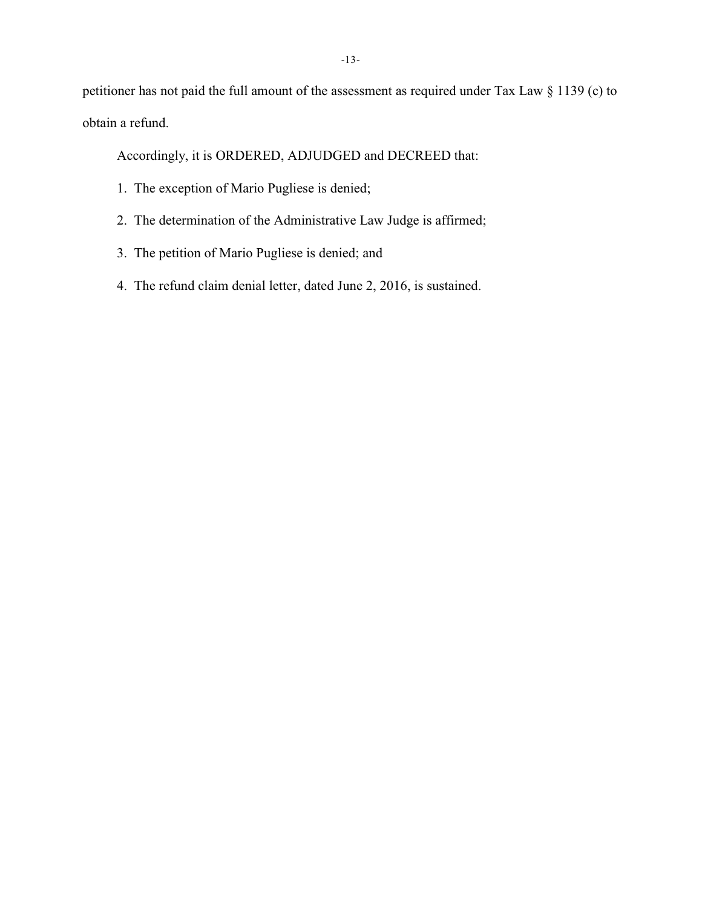petitioner has not paid the full amount of the assessment as required under Tax Law § 1139 (c) to obtain a refund.

Accordingly, it is ORDERED, ADJUDGED and DECREED that:

- 1. The exception of Mario Pugliese is denied;
- 2. The determination of the Administrative Law Judge is affirmed;
- 3. The petition of Mario Pugliese is denied; and
- 4. The refund claim denial letter, dated June 2, 2016, is sustained.